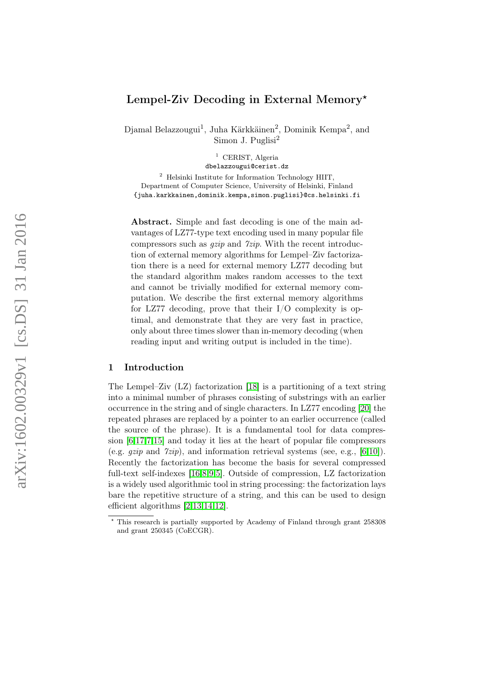# Lempel-Ziv Decoding in External Memory\*

Djamal Belazzougui<sup>1</sup>, Juha Kärkkäinen<sup>2</sup>, Dominik Kempa<sup>2</sup>, and Simon J. Puglisi 2

> <sup>1</sup> CERIST, Algeria dbelazzougui@cerist.dz

<sup>2</sup> Helsinki Institute for Information Technology HIIT, Department of Computer Science, University of Helsinki, Finland {juha.karkkainen,dominik.kempa,simon.puglisi}@cs.helsinki.fi

Abstract. Simple and fast decoding is one of the main advantages of LZ77-type text encoding used in many popular file compressors such as  $qzip$  and  $\gamma zip$ . With the recent introduction of external memory algorithms for Lempel–Ziv factorization there is a need for external memory LZ77 decoding but the standard algorithm makes random accesses to the text and cannot be trivially modified for external memory computation. We describe the first external memory algorithms for LZ77 decoding, prove that their I/O complexity is optimal, and demonstrate that they are very fast in practice, only about three times slower than in-memory decoding (when reading input and writing output is included in the time).

#### 1 Introduction

The Lempel–Ziv (LZ) factorization [\[18\]](#page-12-0) is a partitioning of a text string into a minimal number of phrases consisting of substrings with an earlier occurrence in the string and of single characters. In LZ77 encoding [\[20\]](#page-12-1) the repeated phrases are replaced by a pointer to an earlier occurrence (called the source of the phrase). It is a fundamental tool for data compression [\[6,](#page-12-2)[17,](#page-12-3)[7](#page-12-4)[,15\]](#page-12-5) and today it lies at the heart of popular file compressors (e.g.  $qzip$  and  $7zip$ ), and information retrieval systems (see, e.g., [\[6](#page-12-2)[,10\]](#page-12-6)). Recently the factorization has become the basis for several compressed full-text self-indexes [\[16,](#page-12-7)[8](#page-12-8)[,9,](#page-12-9)[5\]](#page-12-10). Outside of compression, LZ factorization is a widely used algorithmic tool in string processing: the factorization lays bare the repetitive structure of a string, and this can be used to design efficient algorithms [\[2,](#page-11-0)[13,](#page-12-11)[14,](#page-12-12)[12\]](#page-12-13).

<sup>?</sup> This research is partially supported by Academy of Finland through grant 258308 and grant 250345 (CoECGR).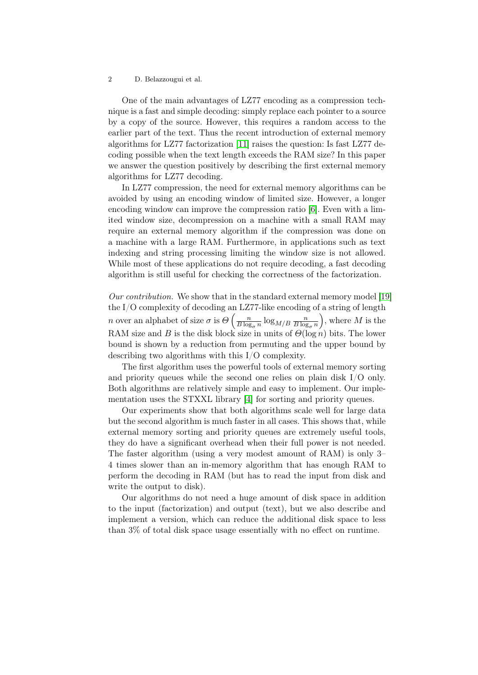One of the main advantages of LZ77 encoding as a compression technique is a fast and simple decoding: simply replace each pointer to a source by a copy of the source. However, this requires a random access to the earlier part of the text. Thus the recent introduction of external memory algorithms for LZ77 factorization [\[11\]](#page-12-14) raises the question: Is fast LZ77 decoding possible when the text length exceeds the RAM size? In this paper we answer the question positively by describing the first external memory algorithms for LZ77 decoding.

In LZ77 compression, the need for external memory algorithms can be avoided by using an encoding window of limited size. However, a longer encoding window can improve the compression ratio [\[6\]](#page-12-2). Even with a limited window size, decompression on a machine with a small RAM may require an external memory algorithm if the compression was done on a machine with a large RAM. Furthermore, in applications such as text indexing and string processing limiting the window size is not allowed. While most of these applications do not require decoding, a fast decoding algorithm is still useful for checking the correctness of the factorization.

Our contribution. We show that in the standard external memory model [\[19\]](#page-12-15) the I/O complexity of decoding an LZ77-like encoding of a string of length *n* over an alphabet of size  $\sigma$  is  $\Theta\left(\frac{n}{R\log n}\right)$  $\frac{n}{B\log_\sigma n} \log_{M/B} \frac{n}{B\log_2{n}}$  $B \log_{\sigma} n$ ), where  $M$  is the RAM size and B is the disk block size in units of  $\Theta(\log n)$  bits. The lower bound is shown by a reduction from permuting and the upper bound by describing two algorithms with this I/O complexity.

The first algorithm uses the powerful tools of external memory sorting and priority queues while the second one relies on plain disk  $I/O$  only. Both algorithms are relatively simple and easy to implement. Our implementation uses the STXXL library [\[4\]](#page-12-16) for sorting and priority queues.

Our experiments show that both algorithms scale well for large data but the second algorithm is much faster in all cases. This shows that, while external memory sorting and priority queues are extremely useful tools, they do have a significant overhead when their full power is not needed. The faster algorithm (using a very modest amount of RAM) is only 3– 4 times slower than an in-memory algorithm that has enough RAM to perform the decoding in RAM (but has to read the input from disk and write the output to disk).

Our algorithms do not need a huge amount of disk space in addition to the input (factorization) and output (text), but we also describe and implement a version, which can reduce the additional disk space to less than 3% of total disk space usage essentially with no effect on runtime.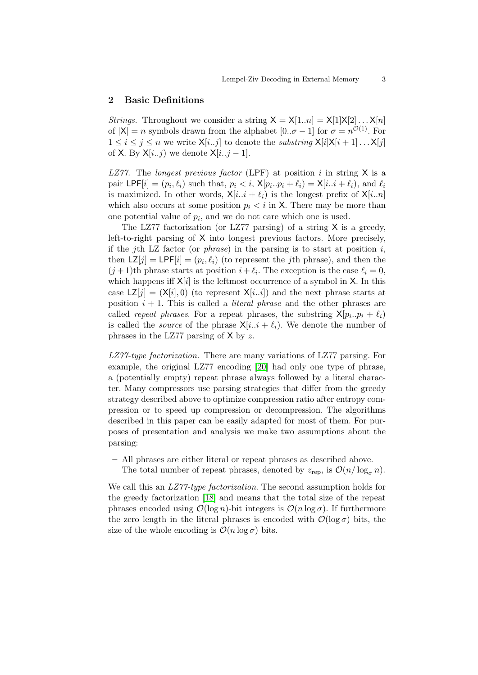#### 2 Basic Definitions

*Strings.* Throughout we consider a string  $X = X[1..n] = X[1]X[2]...X[n]$ of  $|X| = n$  symbols drawn from the alphabet  $[0..\sigma - 1]$  for  $\sigma = n^{\mathcal{O}(1)}$ . For  $1 \leq i \leq j \leq n$  we write  $\mathsf{X}[i..j]$  to denote the substring  $\mathsf{X}[i]\mathsf{X}[i+1] \ldots \mathsf{X}[j]$ of X. By  $X[i..j]$  we denote  $X[i..j-1]$ .

LZ77. The longest previous factor (LPF) at position i in string  $X$  is a pair  $\text{LPF}[i] = (p_i, \ell_i)$  such that,  $p_i < i$ ,  $\mathsf{X}[p_i..p_i + \ell_i) = \mathsf{X}[i..i + \ell_i)$ , and  $\ell_i$ is maximized. In other words,  $X[i..i + \ell_i]$  is the longest prefix of  $X[i..n]$ which also occurs at some position  $p_i < i$  in X. There may be more than one potential value of  $p_i$ , and we do not care which one is used.

The LZ77 factorization (or LZ77 parsing) of a string  $X$  is a greedy, left-to-right parsing of X into longest previous factors. More precisely, if the j<sup>th</sup> LZ factor (or *phrase*) in the parsing is to start at position  $i$ , then  $LZ[j] = LPF[i] = (p_i, \ell_i)$  (to represent the *j*th phrase), and then the  $(j+1)$ th phrase starts at position  $i + \ell_i$ . The exception is the case  $\ell_i = 0$ , which happens iff  $X[i]$  is the leftmost occurrence of a symbol in X. In this case  $LZ[j] = (X[i], 0)$  (to represent  $X[i..i]$ ) and the next phrase starts at position  $i + 1$ . This is called a *literal phrase* and the other phrases are called *repeat phrases*. For a repeat phrases, the substring  $X[p_i..p_i + \ell_i]$ is called the *source* of the phrase  $X[i..i + \ell_i]$ . We denote the number of phrases in the LZ77 parsing of  $X$  by z.

LZ77-type factorization. There are many variations of LZ77 parsing. For example, the original LZ77 encoding [\[20\]](#page-12-1) had only one type of phrase, a (potentially empty) repeat phrase always followed by a literal character. Many compressors use parsing strategies that differ from the greedy strategy described above to optimize compression ratio after entropy compression or to speed up compression or decompression. The algorithms described in this paper can be easily adapted for most of them. For purposes of presentation and analysis we make two assumptions about the parsing:

- All phrases are either literal or repeat phrases as described above.
- The total number of repeat phrases, denoted by  $z_{\text{rep}}$ , is  $\mathcal{O}(n/\log_{\sigma} n)$ .

We call this an *LZ77-type factorization*. The second assumption holds for the greedy factorization [\[18\]](#page-12-0) and means that the total size of the repeat phrases encoded using  $\mathcal{O}(\log n)$ -bit integers is  $\mathcal{O}(n \log \sigma)$ . If furthermore the zero length in the literal phrases is encoded with  $\mathcal{O}(\log \sigma)$  bits, the size of the whole encoding is  $\mathcal{O}(n \log \sigma)$  bits.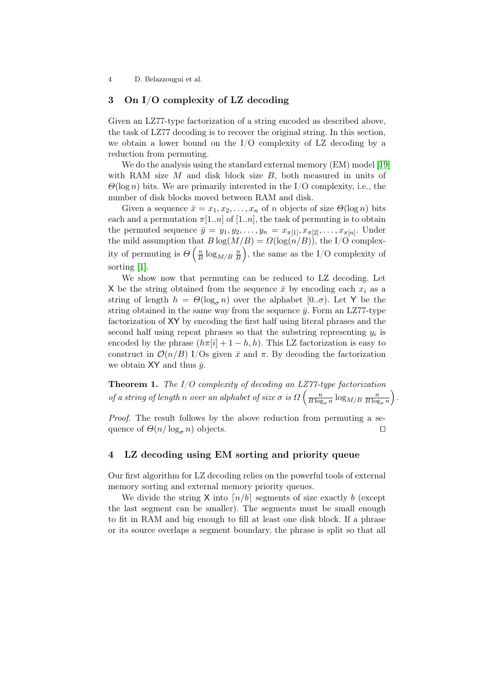## 3 On I/O complexity of LZ decoding

Given an LZ77-type factorization of a string encoded as described above, the task of LZ77 decoding is to recover the original string. In this section, we obtain a lower bound on the I/O complexity of LZ decoding by a reduction from permuting.

We do the analysis using the standard external memory (EM) model [\[19\]](#page-12-15) with RAM size  $M$  and disk block size  $B$ , both measured in units of  $\Theta(\log n)$  bits. We are primarily interested in the I/O complexity, i.e., the number of disk blocks moved between RAM and disk.

Given a sequence  $\bar{x} = x_1, x_2, \ldots, x_n$  of n objects of size  $\Theta(\log n)$  bits each and a permutation  $\pi[1..n]$  of  $[1..n]$ , the task of permuting is to obtain the permuted sequence  $\bar{y} = y_1, y_2, \ldots, y_n = x_{\pi[1]}, x_{\pi[2]}, \ldots, x_{\pi[n]}$ . Under the mild assumption that  $B \log(M/B) = \Omega(\log(n/B))$ , the I/O complexity of permuting is  $\Theta\left(\frac{n}{B}\right)$  $\frac{n}{B} \log_{M/B} \frac{n}{B}$  $\left(\frac{n}{B}\right)$ , the same as the I/O complexity of sorting [\[1\]](#page-11-1).

We show now that permuting can be reduced to LZ decoding. Let X be the string obtained from the sequence  $\bar{x}$  by encoding each  $x_i$  as a string of length  $h = \Theta(\log_{\sigma} n)$  over the alphabet  $[0..\sigma)$ . Let Y be the string obtained in the same way from the sequence  $\bar{y}$ . Form an LZ77-type factorization of XY by encoding the first half using literal phrases and the second half using repeat phrases so that the substring representing  $y_i$  is encoded by the phrase  $(h\pi[i] + 1 - h, h)$ . This LZ factorization is easy to construct in  $\mathcal{O}(n/B)$  I/Os given  $\bar{x}$  and  $\pi$ . By decoding the factorization we obtain XY and thus  $\bar{y}$ .

**Theorem 1.** The  $I/O$  complexity of decoding an  $LZ77$ -type factorization of a string of length n over an alphabet of size  $\sigma$  is  $\Omega\left(\frac{n}{B\log n}\right)$  $\frac{n}{B \log_\sigma n} \log_{M/B} \frac{n}{B \log_2{n}}$  $B \log_{\sigma} n$ .

Proof. The result follows by the above reduction from permuting a sequence of  $\Theta(n/\log_{\sigma} n)$  objects.

#### <span id="page-3-0"></span>4 LZ decoding using EM sorting and priority queue

Our first algorithm for LZ decoding relies on the powerful tools of external memory sorting and external memory priority queues.

We divide the string X into  $\lceil n/b \rceil$  segments of size exactly b (except the last segment can be smaller). The segments must be small enough to fit in RAM and big enough to fill at least one disk block. If a phrase or its source overlaps a segment boundary, the phrase is split so that all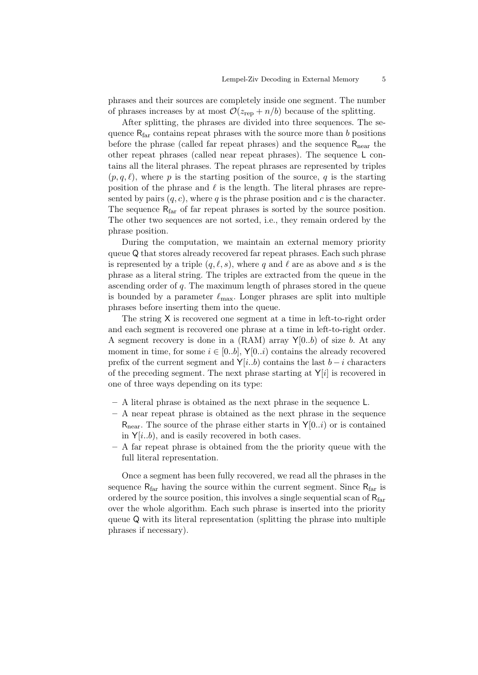phrases and their sources are completely inside one segment. The number of phrases increases by at most  $\mathcal{O}(z_{\text{rep}} + n/b)$  because of the splitting.

After splitting, the phrases are divided into three sequences. The sequence  $R_{far}$  contains repeat phrases with the source more than b positions before the phrase (called far repeat phrases) and the sequence  $R_{near}$  the other repeat phrases (called near repeat phrases). The sequence L contains all the literal phrases. The repeat phrases are represented by triples  $(p, q, \ell)$ , where p is the starting position of the source, q is the starting position of the phrase and  $\ell$  is the length. The literal phrases are represented by pairs  $(q, c)$ , where q is the phrase position and c is the character. The sequence  $R_{\text{far}}$  of far repeat phrases is sorted by the source position. The other two sequences are not sorted, i.e., they remain ordered by the phrase position.

During the computation, we maintain an external memory priority queue Q that stores already recovered far repeat phrases. Each such phrase is represented by a triple  $(q, \ell, s)$ , where q and  $\ell$  are as above and s is the phrase as a literal string. The triples are extracted from the queue in the ascending order of q. The maximum length of phrases stored in the queue is bounded by a parameter  $\ell_{\text{max}}$ . Longer phrases are split into multiple phrases before inserting them into the queue.

The string X is recovered one segment at a time in left-to-right order and each segment is recovered one phrase at a time in left-to-right order. A segment recovery is done in a  $(RAM)$  array  $Y[0..b]$  of size b. At any moment in time, for some  $i \in [0..b]$ ,  $\mathsf{Y}[0..i)$  contains the already recovered prefix of the current segment and  $Y[i..b]$  contains the last  $b-i$  characters of the preceding segment. The next phrase starting at  $Y[i]$  is recovered in one of three ways depending on its type:

- A literal phrase is obtained as the next phrase in the sequence L.
- A near repeat phrase is obtained as the next phrase in the sequence  $R_{\text{near}}$ . The source of the phrase either starts in  $Y[0..i)$  or is contained in  $Y[i..b]$ , and is easily recovered in both cases.
- A far repeat phrase is obtained from the the priority queue with the full literal representation.

Once a segment has been fully recovered, we read all the phrases in the sequence  $R_{far}$  having the source within the current segment. Since  $R_{far}$  is ordered by the source position, this involves a single sequential scan of  $R_{far}$ over the whole algorithm. Each such phrase is inserted into the priority queue Q with its literal representation (splitting the phrase into multiple phrases if necessary).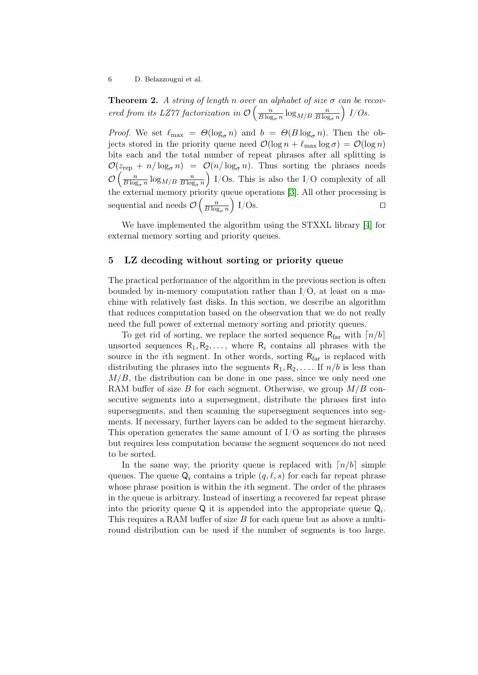**Theorem 2.** A string of length n over an alphabet of size  $\sigma$  can be recovered from its LZ77 factorization in  $\mathcal{O}\left(\frac{n}{B \log n}\right)$  $\frac{n}{B \log_\sigma n} \log_{M/B} \frac{n}{B \log_2{n}}$  $B \log_{\sigma} n$  $\big)$  I/Os.

*Proof.* We set  $\ell_{\text{max}} = \Theta(\log_{\sigma} n)$  and  $b = \Theta(B \log_{\sigma} n)$ . Then the objects stored in the priority queue need  $\mathcal{O}(\log n + \ell_{\max} \log \sigma) = \mathcal{O}(\log n)$ bits each and the total number of repeat phrases after all splitting is  $\mathcal{O}(z_{\text{rep}} + n/\log_{\sigma} n) = \mathcal{O}(n/\log_{\sigma} n)$ . Thus sorting the phrases needs  $\mathcal{O}\left(\frac{n}{B\log n}\right)$  $\frac{n}{B \log_\sigma n} \log_{M/B} \frac{n}{B \log_2{n}}$  $B \log_{\sigma} n$  I/Os. This is also the I/O complexity of all the external memory priority queue operations [\[3\]](#page-11-2). All other processing is sequential and needs  $\mathcal{O}\left(\frac{n}{B\log n}\right)$  $B \log_{\sigma} n$  $\big)$  I/Os.

We have implemented the algorithm using the STXXL library [\[4\]](#page-12-16) for external memory sorting and priority queues.

#### <span id="page-5-0"></span>5 LZ decoding without sorting or priority queue

The practical performance of the algorithm in the previous section is often bounded by in-memory computation rather than I/O, at least on a machine with relatively fast disks. In this section, we describe an algorithm that reduces computation based on the observation that we do not really need the full power of external memory sorting and priority queues.

To get rid of sorting, we replace the sorted sequence  $R_{far}$  with  $\lceil n/b \rceil$ unsorted sequences  $R_1, R_2, \ldots$ , where  $R_i$  contains all phrases with the source in the *i*th segment. In other words, sorting  $R_{far}$  is replaced with distributing the phrases into the segments  $R_1, R_2, \ldots$  If  $n/b$  is less than  $M/B$ , the distribution can be done in one pass, since we only need one RAM buffer of size B for each segment. Otherwise, we group  $M/B$  consecutive segments into a supersegment, distribute the phrases first into supersegments, and then scanning the supersegment sequences into segments. If necessary, further layers can be added to the segment hierarchy. This operation generates the same amount of  $I/O$  as sorting the phrases but requires less computation because the segment sequences do not need to be sorted.

In the same way, the priority queue is replaced with  $\lceil n/b \rceil$  simple queues. The queue  $\mathsf{Q}_i$  contains a triple  $(q, \ell, s)$  for each far repeat phrase whose phrase position is within the *i*th segment. The order of the phrases in the queue is arbitrary. Instead of inserting a recovered far repeat phrase into the priority queue  $Q$  it is appended into the appropriate queue  $Q_i$ . This requires a RAM buffer of size  $B$  for each queue but as above a multiround distribution can be used if the number of segments is too large.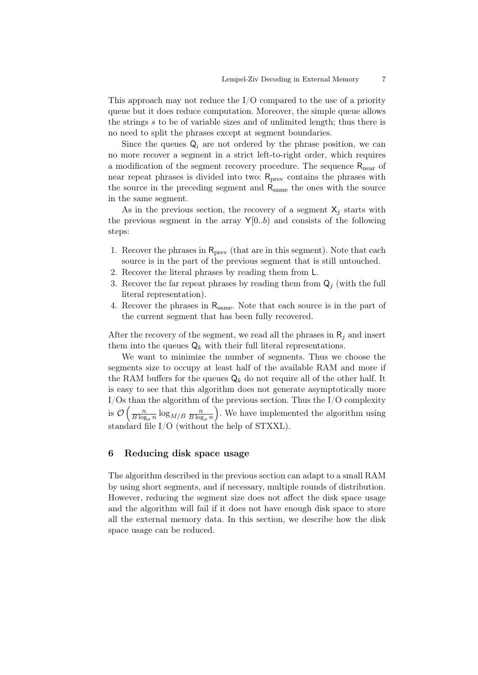This approach may not reduce the  $I/O$  compared to the use of a priority queue but it does reduce computation. Moreover, the simple queue allows the strings s to be of variable sizes and of unlimited length; thus there is no need to split the phrases except at segment boundaries.

Since the queues  $Q_i$  are not ordered by the phrase position, we can no more recover a segment in a strict left-to-right order, which requires a modification of the segment recovery procedure. The sequence  $R_{near}$  of near repeat phrases is divided into two:  $R<sub>prev</sub>$  contains the phrases with the source in the preceding segment and  $R_{same}$  the ones with the source in the same segment.

As in the previous section, the recovery of a segment  $X_i$  starts with the previous segment in the array  $Y[0..b)$  and consists of the following steps:

- 1. Recover the phrases in  $R_{prev}$  (that are in this segment). Note that each source is in the part of the previous segment that is still untouched.
- 2. Recover the literal phrases by reading them from L.
- 3. Recover the far repeat phrases by reading them from  $Q_i$  (with the full literal representation).
- 4. Recover the phrases in  $R_{same}$ . Note that each source is in the part of the current segment that has been fully recovered.

After the recovery of the segment, we read all the phrases in  $R_i$  and insert them into the queues  $\mathsf{Q}_k$  with their full literal representations.

We want to minimize the number of segments. Thus we choose the segments size to occupy at least half of the available RAM and more if the RAM buffers for the queues  $\mathsf{Q}_k$  do not require all of the other half. It is easy to see that this algorithm does not generate asymptotically more I/Os than the algorithm of the previous section. Thus the I/O complexity is  $\mathcal{O}\left(\frac{n}{B\log n}\right)$  $\frac{n}{B \log_\sigma n} \log_{M/B} \frac{n}{B \log_2{n}}$  $B \log_{\sigma} n$  . We have implemented the algorithm using standard file I/O (without the help of STXXL).

### <span id="page-6-0"></span>6 Reducing disk space usage

The algorithm described in the previous section can adapt to a small RAM by using short segments, and if necessary, multiple rounds of distribution. However, reducing the segment size does not affect the disk space usage and the algorithm will fail if it does not have enough disk space to store all the external memory data. In this section, we describe how the disk space usage can be reduced.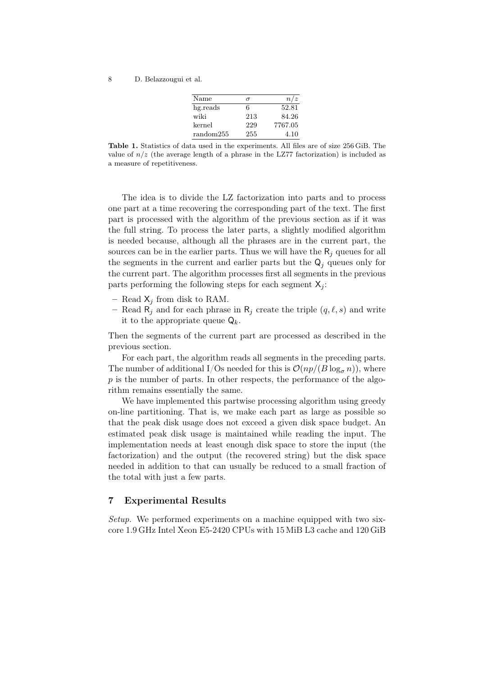| Name      | σ   | n/z     |
|-----------|-----|---------|
| hg.reads  | 6   | 52.81   |
| wiki      | 213 | 84.26   |
| kernel    | 229 | 7767.05 |
| random255 | 255 | 4.10    |

<span id="page-7-0"></span>Table 1. Statistics of data used in the experiments. All files are of size 256 GiB. The value of  $n/z$  (the average length of a phrase in the LZ77 factorization) is included as a measure of repetitiveness.

The idea is to divide the LZ factorization into parts and to process one part at a time recovering the corresponding part of the text. The first part is processed with the algorithm of the previous section as if it was the full string. To process the later parts, a slightly modified algorithm is needed because, although all the phrases are in the current part, the sources can be in the earlier parts. Thus we will have the  $R_i$  queues for all the segments in the current and earlier parts but the  $\mathsf{Q}_i$  queues only for the current part. The algorithm processes first all segments in the previous parts performing the following steps for each segment  $X_i$ :

- Read  $X_j$  from disk to RAM.
- Read  $\mathsf{R}_j$  and for each phrase in  $\mathsf{R}_j$  create the triple  $(q, \ell, s)$  and write it to the appropriate queue  $\mathsf{Q}_k$ .

Then the segments of the current part are processed as described in the previous section.

For each part, the algorithm reads all segments in the preceding parts. The number of additional I/Os needed for this is  $\mathcal{O}(np/(B \log_{\sigma} n))$ , where  $p$  is the number of parts. In other respects, the performance of the algorithm remains essentially the same.

We have implemented this partwise processing algorithm using greedy on-line partitioning. That is, we make each part as large as possible so that the peak disk usage does not exceed a given disk space budget. An estimated peak disk usage is maintained while reading the input. The implementation needs at least enough disk space to store the input (the factorization) and the output (the recovered string) but the disk space needed in addition to that can usually be reduced to a small fraction of the total with just a few parts.

#### 7 Experimental Results

Setup. We performed experiments on a machine equipped with two sixcore 1.9 GHz Intel Xeon E5-2420 CPUs with 15 MiB L3 cache and 120 GiB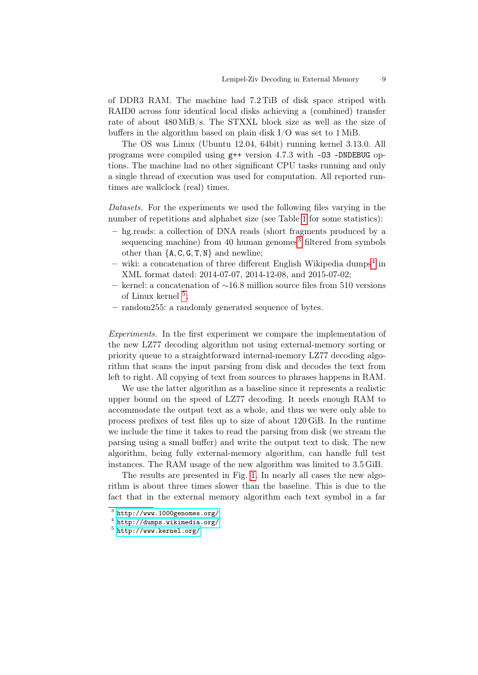of DDR3 RAM. The machine had 7.2 TiB of disk space striped with RAID0 across four identical local disks achieving a (combined) transfer rate of about 480 MiB/s. The STXXL block size as well as the size of buffers in the algorithm based on plain disk I/O was set to 1 MiB.

The OS was Linux (Ubuntu 12.04, 64bit) running kernel 3.13.0. All programs were compiled using  $g++$  version 4.7.3 with  $-03$  -DNDEBUG options. The machine had no other significant CPU tasks running and only a single thread of execution was used for computation. All reported runtimes are wallclock (real) times.

Datasets. For the experiments we used the following files varying in the number of repetitions and alphabet size (see Table [1](#page-7-0) for some statistics):

- hg.reads: a collection of DNA reads (short fragments produced by a sequencing machine) from 40 human genomes<sup>[3](#page-8-0)</sup> filtered from symbols other than  ${A, C, G, T, N}$  and newline;
- $-$  wiki: a concatenation of three different English Wikipedia dumps<sup>[4](#page-8-1)</sup> in XML format dated: 2014-07-07, 2014-12-08, and 2015-07-02;
- kernel: a concatenation of ∼16.8 million source files from 510 versions of Linux kernel<sup>[5](#page-8-2)</sup>;
- random255: a randomly generated sequence of bytes.

Experiments. In the first experiment we compare the implementation of the new LZ77 decoding algorithm not using external-memory sorting or priority queue to a straightforward internal-memory LZ77 decoding algorithm that scans the input parsing from disk and decodes the text from left to right. All copying of text from sources to phrases happens in RAM.

We use the latter algorithm as a baseline since it represents a realistic upper bound on the speed of LZ77 decoding. It needs enough RAM to accommodate the output text as a whole, and thus we were only able to process prefixes of test files up to size of about 120 GiB. In the runtime we include the time it takes to read the parsing from disk (we stream the parsing using a small buffer) and write the output text to disk. The new algorithm, being fully external-memory algorithm, can handle full test instances. The RAM usage of the new algorithm was limited to 3.5 GiB.

The results are presented in Fig. [1.](#page-9-0) In nearly all cases the new algorithm is about three times slower than the baseline. This is due to the fact that in the external memory algorithm each text symbol in a far

<span id="page-8-0"></span> $3$  <http://www.1000genomes.org/>

<span id="page-8-1"></span> $^4$  <http://dumps.wikimedia.org/>

<span id="page-8-2"></span> $5$  <http://www.kernel.org/>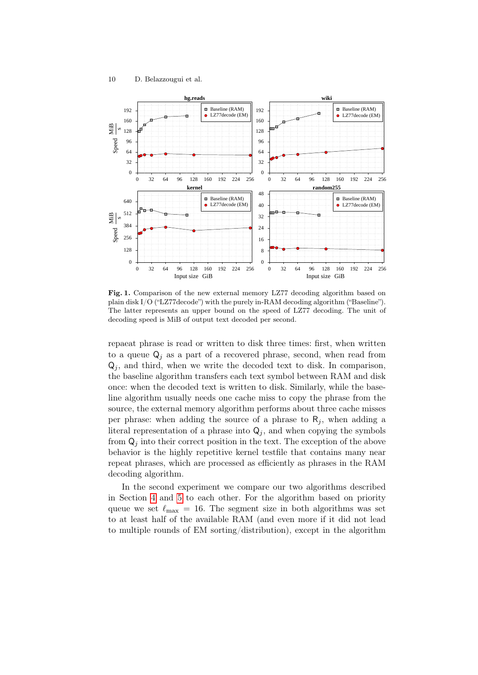

<span id="page-9-0"></span>Fig. 1. Comparison of the new external memory LZ77 decoding algorithm based on plain disk I/O ("LZ77decode") with the purely in-RAM decoding algorithm ("Baseline"). The latter represents an upper bound on the speed of LZ77 decoding. The unit of decoding speed is MiB of output text decoded per second.

repaeat phrase is read or written to disk three times: first, when written to a queue  $\mathsf{Q}_i$  as a part of a recovered phrase, second, when read from  $\mathsf{Q}_j$ , and third, when we write the decoded text to disk. In comparison, the baseline algorithm transfers each text symbol between RAM and disk once: when the decoded text is written to disk. Similarly, while the baseline algorithm usually needs one cache miss to copy the phrase from the source, the external memory algorithm performs about three cache misses per phrase: when adding the source of a phrase to  $R_i$ , when adding a literal representation of a phrase into  $Q_j$ , and when copying the symbols from  $\mathsf{Q}_j$  into their correct position in the text. The exception of the above behavior is the highly repetitive kernel testfile that contains many near repeat phrases, which are processed as efficiently as phrases in the RAM decoding algorithm.

In the second experiment we compare our two algorithms described in Section [4](#page-3-0) and [5](#page-5-0) to each other. For the algorithm based on priority queue we set  $\ell_{\text{max}} = 16$ . The segment size in both algorithms was set to at least half of the available RAM (and even more if it did not lead to multiple rounds of EM sorting/distribution), except in the algorithm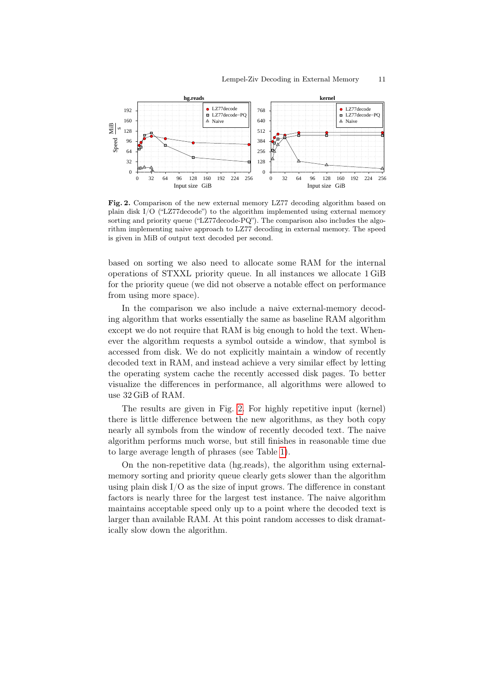

<span id="page-10-0"></span>Fig. 2. Comparison of the new external memory LZ77 decoding algorithm based on plain disk I/O ("LZ77decode") to the algorithm implemented using external memory sorting and priority queue ("LZ77decode-PQ"). The comparison also includes the algorithm implementing naive approach to LZ77 decoding in external memory. The speed is given in MiB of output text decoded per second.

based on sorting we also need to allocate some RAM for the internal operations of STXXL priority queue. In all instances we allocate 1 GiB for the priority queue (we did not observe a notable effect on performance from using more space).

In the comparison we also include a naive external-memory decoding algorithm that works essentially the same as baseline RAM algorithm except we do not require that RAM is big enough to hold the text. Whenever the algorithm requests a symbol outside a window, that symbol is accessed from disk. We do not explicitly maintain a window of recently decoded text in RAM, and instead achieve a very similar effect by letting the operating system cache the recently accessed disk pages. To better visualize the differences in performance, all algorithms were allowed to use 32 GiB of RAM.

The results are given in Fig. [2.](#page-10-0) For highly repetitive input (kernel) there is little difference between the new algorithms, as they both copy nearly all symbols from the window of recently decoded text. The naive algorithm performs much worse, but still finishes in reasonable time due to large average length of phrases (see Table [1\)](#page-7-0).

On the non-repetitive data (hg.reads), the algorithm using externalmemory sorting and priority queue clearly gets slower than the algorithm using plain disk I/O as the size of input grows. The difference in constant factors is nearly three for the largest test instance. The naive algorithm maintains acceptable speed only up to a point where the decoded text is larger than available RAM. At this point random accesses to disk dramatically slow down the algorithm.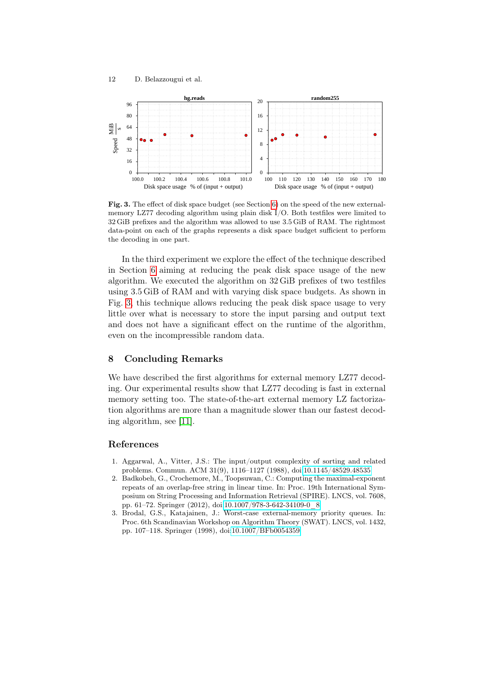

<span id="page-11-3"></span>Fig. 3. The effect of disk space budget (see Section [6\)](#page-6-0) on the speed of the new externalmemory LZ77 decoding algorithm using plain disk I/O. Both testfiles were limited to 32 GiB prefixes and the algorithm was allowed to use 3.5 GiB of RAM. The rightmost data-point on each of the graphs represents a disk space budget sufficient to perform the decoding in one part.

In the third experiment we explore the effect of the technique described in Section [6](#page-6-0) aiming at reducing the peak disk space usage of the new algorithm. We executed the algorithm on 32 GiB prefixes of two testfiles using 3.5 GiB of RAM and with varying disk space budgets. As shown in Fig. [3,](#page-11-3) this technique allows reducing the peak disk space usage to very little over what is necessary to store the input parsing and output text and does not have a significant effect on the runtime of the algorithm, even on the incompressible random data.

#### 8 Concluding Remarks

We have described the first algorithms for external memory LZ77 decoding. Our experimental results show that LZ77 decoding is fast in external memory setting too. The state-of-the-art external memory LZ factorization algorithms are more than a magnitude slower than our fastest decoding algorithm, see [\[11\]](#page-12-14).

#### References

- <span id="page-11-1"></span>1. Aggarwal, A., Vitter, J.S.: The input/output complexity of sorting and related problems. Commun. ACM 31(9), 1116–1127 (1988), doi[:10.1145/48529.48535](http://dx.doi.org/10.1145/48529.48535)
- <span id="page-11-0"></span>2. Badkobeh, G., Crochemore, M., Toopsuwan, C.: Computing the maximal-exponent repeats of an overlap-free string in linear time. In: Proc. 19th International Symposium on String Processing and Information Retrieval (SPIRE). LNCS, vol. 7608, pp. 61–72. Springer (2012), doi[:10.1007/978-3-642-34109-0\\_8](http://dx.doi.org/10.1007/978-3-642-34109-0_8)
- <span id="page-11-2"></span>3. Brodal, G.S., Katajainen, J.: Worst-case external-memory priority queues. In: Proc. 6th Scandinavian Workshop on Algorithm Theory (SWAT). LNCS, vol. 1432, pp. 107–118. Springer (1998), doi[:10.1007/BFb0054359](http://dx.doi.org/10.1007/BFb0054359)